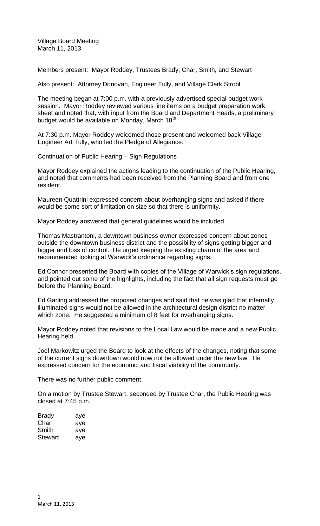Village Board Meeting March 11, 2013

Members present: Mayor Roddey, Trustees Brady, Char, Smith, and Stewart

Also present: Attorney Donovan, Engineer Tully, and Village Clerk Strobl

The meeting began at 7:00 p.m. with a previously advertised special budget work session. Mayor Roddey reviewed various line items on a budget preparation work sheet and noted that, with input from the Board and Department Heads, a preliminary budget would be available on Monday, March 18<sup>th</sup>.

At 7:30 p.m. Mayor Roddey welcomed those present and welcomed back Village Engineer Art Tully, who led the Pledge of Allegiance.

Continuation of Public Hearing – Sign Regulations

Mayor Roddey explained the actions leading to the continuation of the Public Hearing, and noted that comments had been received from the Planning Board and from one resident.

Maureen Quattrini expressed concern about overhanging signs and asked if there would be some sort of limitation on size so that there is uniformity.

Mayor Roddey answered that general guidelines would be included.

Thomas Mastrantoni, a downtown business owner expressed concern about zones outside the downtown business district and the possibility of signs getting bigger and bigger and loss of control. He urged keeping the existing charm of the area and recommended looking at Warwick's ordinance regarding signs.

Ed Connor presented the Board with copies of the Village of Warwick's sign regulations, and pointed out some of the highlights, including the fact that all sign requests must go before the Planning Board.

Ed Garling addressed the proposed changes and said that he was glad that internally illuminated signs would not be allowed in the architectural design district no matter which zone. He suggested a minimum of 8 feet for overhanging signs.

Mayor Roddey noted that revisions to the Local Law would be made and a new Public Hearing held.

Joel Markowitz urged the Board to look at the effects of the changes, noting that some of the current signs downtown would now not be allowed under the new law. He expressed concern for the economic and fiscal viability of the community.

There was no further public comment.

On a motion by Trustee Stewart, seconded by Trustee Char, the Public Hearing was closed at 7:45 p.m.

| Brady   | aye |
|---------|-----|
| Char    | aye |
| Smith   | aye |
| Stewart | aye |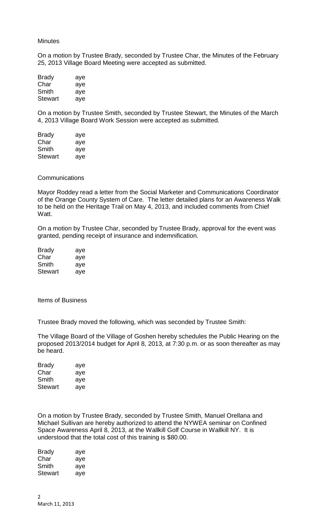#### **Minutes**

On a motion by Trustee Brady, seconded by Trustee Char, the Minutes of the February 25, 2013 Village Board Meeting were accepted as submitted.

| Brady   | aye |
|---------|-----|
| Char    | aye |
| Smith   | aye |
| Stewart | aye |

On a motion by Trustee Smith, seconded by Trustee Stewart, the Minutes of the March 4, 2013 Village Board Work Session were accepted as submitted.

| Brady          | aye |
|----------------|-----|
| Char           | aye |
| Smith          | aye |
| <b>Stewart</b> | aye |

## **Communications**

Mayor Roddey read a letter from the Social Marketer and Communications Coordinator of the Orange County System of Care. The letter detailed plans for an Awareness Walk to be held on the Heritage Trail on May 4, 2013, and included comments from Chief Watt.

On a motion by Trustee Char, seconded by Trustee Brady, approval for the event was granted, pending receipt of insurance and indemnification.

| <b>Brady</b> | aye |
|--------------|-----|
| Char         | aye |
| Smith        | aye |
| Stewart      | aye |

Items of Business

Trustee Brady moved the following, which was seconded by Trustee Smith:

The Village Board of the Village of Goshen hereby schedules the Public Hearing on the proposed 2013/2014 budget for April 8, 2013, at 7:30 p.m. or as soon thereafter as may be heard.

| <b>Brady</b>   | aye |
|----------------|-----|
| Char           | aye |
| Smith          | aye |
| <b>Stewart</b> | aye |

On a motion by Trustee Brady, seconded by Trustee Smith, Manuel Orellana and Michael Sullivan are hereby authorized to attend the NYWEA seminar on Confined Space Awareness April 8, 2013, at the Wallkill Golf Course in Wallkill NY. It is understood that the total cost of this training is \$80.00.

| Brady   | aye |
|---------|-----|
| Char    | aye |
| Smith   | aye |
| Stewart | aye |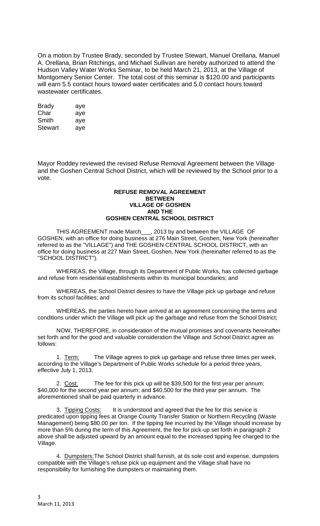On a motion by Trustee Brady, seconded by Trustee Stewart, Manuel Orellana, Manuel A. Orellana, Brian Ritchings, and Michael Sullivan are hereby authorized to attend the Hudson Valley Water Works Seminar, to be held March 21, 2013, at the Village of Montgomery Senior Center. The total cost of this seminar is \$120.00 and participants will earn 5.5 contact hours toward water certificates and 5.0 contact hours toward wastewater certificates.

| <b>Brady</b>   | aye |
|----------------|-----|
| Char           | aye |
| Smith          | aye |
| <b>Stewart</b> | ave |

Mayor Roddey reviewed the revised Refuse Removal Agreement between the Village and the Goshen Central School District, which will be reviewed by the School prior to a vote.

### **REFUSE REMOVAL AGREEMENT BETWEEN VILLAGE OF GOSHEN AND THE GOSHEN CENTRAL SCHOOL DISTRICT**

THIS AGREEMENT made March\_\_\_, 2013 by and between the VILLAGE OF GOSHEN, with an office for doing business at 276 Main Street, Goshen, New York (hereinafter referred to as the "VILLAGE") and THE GOSHEN CENTRAL SCHOOL DISTRICT, with an office for doing business at 227 Main Street, Goshen, New York (hereinafter referred to as the "SCHOOL DISTRICT").

WHEREAS, the Village, through its Department of Public Works, has collected garbage and refuse from residential establishments within its municipal boundaries; and

WHEREAS, the School District desires to have the Village pick up garbage and refuse from its school facilities; and

WHEREAS, the parties hereto have arrived at an agreement concerning the terms and conditions under which the Village will pick up the garbage and refuse from the School District;

NOW, THEREFORE, in consideration of the mutual promises and covenants hereinafter set forth and for the good and valuable consideration the Village and School District agree as follows:

1. Term: The Village agrees to pick up garbage and refuse three times per week, according to the Village's Department of Public Works schedule for a period three years, effective July 1, 2013.

2. Cost: The fee for this pick up will be \$39,500 for the first year per annum; \$40,000 for the second year per annum; and \$40,500 for the third year per annum. The aforementioned shall be paid quarterly in advance.

3. Tipping Costs: It is understood and agreed that the fee for this service is predicated upon tipping fees at Orange County Transfer Station or Northern Recycling (Waste Management) being \$80.00 per ton. If the tipping fee incurred by the Village should increase by more than 5% during the term of this Agreement, the fee for pick-up set forth in paragraph 2 above shall be adjusted upward by an amount equal to the increased tipping fee charged to the Village.

4. Dumpsters:The School District shall furnish, at its sole cost and expense, dumpsters compatible with the Village's refuse pick up equipment and the Village shall have no responsibility for furnishing the dumpsters or maintaining them.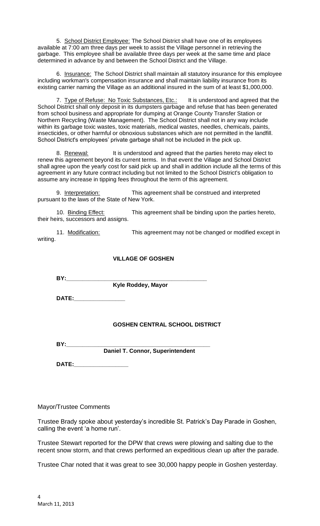5. School District Employee: The School District shall have one of its employees available at 7:00 am three days per week to assist the Village personnel in retrieving the garbage. This employee shall be available three days per week at the same time and place determined in advance by and between the School District and the Village.

6. Insurance: The School District shall maintain all statutory insurance for this employee including workman's compensation insurance and shall maintain liability insurance from its existing carrier naming the Village as an additional insured in the sum of at least \$1,000,000.

7. Type of Refuse: No Toxic Substances, Etc.: It is understood and agreed that the School District shall only deposit in its dumpsters garbage and refuse that has been generated from school business and appropriate for dumping at Orange County Transfer Station or Northern Recycling (Waste Management). The School District shall not in any way include within its garbage toxic wastes, toxic materials, medical wastes, needles, chemicals, paints, insecticides, or other harmful or obnoxious substances which are not permitted in the landfill. School District's employees' private garbage shall not be included in the pick up.

8. Renewal: It is understood and agreed that the parties hereto may elect to renew this agreement beyond its current terms. In that event the Village and School District shall agree upon the yearly cost for said pick up and shall in addition include all the terms of this agreement in any future contract including but not limited to the School District's obligation to assume any increase in tipping fees throughout the term of this agreement.

9. Interpretation: This agreement shall be construed and interpreted pursuant to the laws of the State of New York.

10. Binding Effect: This agreement shall be binding upon the parties hereto, their heirs, successors and assigns.

11. Modification: This agreement may not be changed or modified except in writing.

## **VILLAGE OF GOSHEN**

**BY:\_\_\_\_\_\_\_\_\_\_\_\_\_\_\_\_\_\_\_\_\_\_\_\_\_\_\_\_\_\_\_\_\_\_\_\_\_\_\_\_\_\_\_\_**

**Kyle Roddey, Mayor** 

**DATE:\_\_\_\_\_\_\_\_\_\_\_\_\_\_\_\_**

# **GOSHEN CENTRAL SCHOOL DISTRICT**

**BY:** 

 **Daniel T. Connor, Superintendent** 

**DATE:\_\_\_\_\_\_\_\_\_\_\_\_\_\_\_\_\_**

### Mayor/Trustee Comments

Trustee Brady spoke about yesterday's incredible St. Patrick's Day Parade in Goshen, calling the event 'a home run'.

Trustee Stewart reported for the DPW that crews were plowing and salting due to the recent snow storm, and that crews performed an expeditious clean up after the parade.

Trustee Char noted that it was great to see 30,000 happy people in Goshen yesterday.